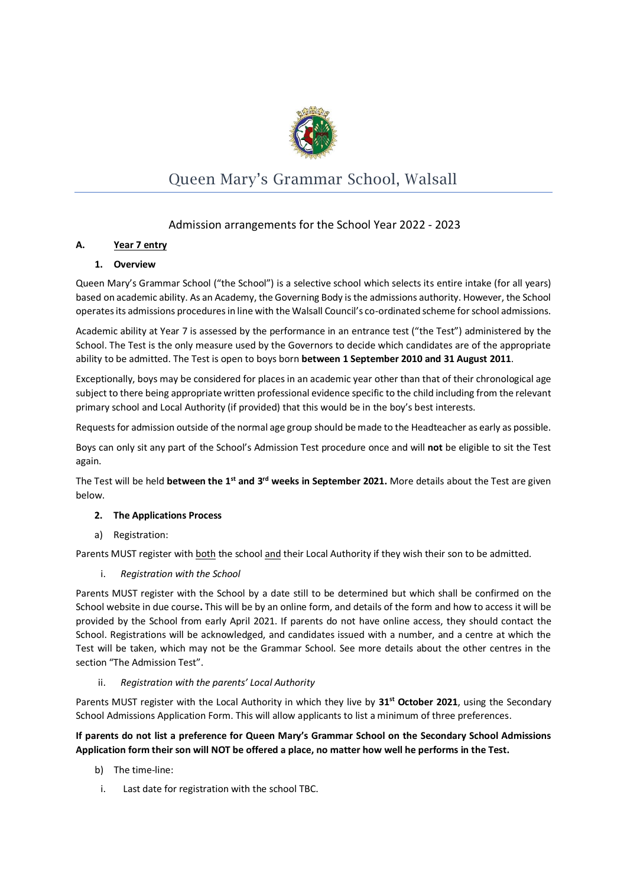

# Queen Mary's Grammar School, Walsall

## Admission arrangements for the School Year 2022 - 2023

## **A. Year 7 entry**

## **1. Overview**

Queen Mary's Grammar School ("the School") is a selective school which selects its entire intake (for all years) based on academic ability. As an Academy, the Governing Body is the admissions authority. However, the School operates its admissions procedures in line with the Walsall Council's co-ordinated scheme for school admissions.

Academic ability at Year 7 is assessed by the performance in an entrance test ("the Test") administered by the School. The Test is the only measure used by the Governors to decide which candidates are of the appropriate ability to be admitted. The Test is open to boys born **between 1 September 2010 and 31 August 2011**.

Exceptionally, boys may be considered for places in an academic year other than that of their chronological age subject to there being appropriate written professional evidence specific to the child including from the relevant primary school and Local Authority (if provided) that this would be in the boy's best interests.

Requests for admission outside of the normal age group should be made to the Headteacher as early as possible.

Boys can only sit any part of the School's Admission Test procedure once and will **not** be eligible to sit the Test again.

The Test will be held **between the 1st and 3rd weeks in September 2021.** More details about the Test are given below.

## **2. The Applications Process**

a) Registration:

Parents MUST register with both the school and their Local Authority if they wish their son to be admitted.

i. *Registration with the School*

Parents MUST register with the School by a date still to be determined but which shall be confirmed on the School website in due course**.** This will be by an online form, and details of the form and how to access it will be provided by the School from early April 2021. If parents do not have online access, they should contact the School. Registrations will be acknowledged, and candidates issued with a number, and a centre at which the Test will be taken, which may not be the Grammar School. See more details about the other centres in the section "The Admission Test".

## ii. *Registration with the parents' Local Authority*

Parents MUST register with the Local Authority in which they live by **31st October 2021**, using the Secondary School Admissions Application Form. This will allow applicants to list a minimum of three preferences.

## **If parents do not list a preference for Queen Mary's Grammar School on the Secondary School Admissions Application form their son will NOT be offered a place, no matter how well he performs in the Test.**

- b) The time-line:
- i. Last date for registration with the school TBC.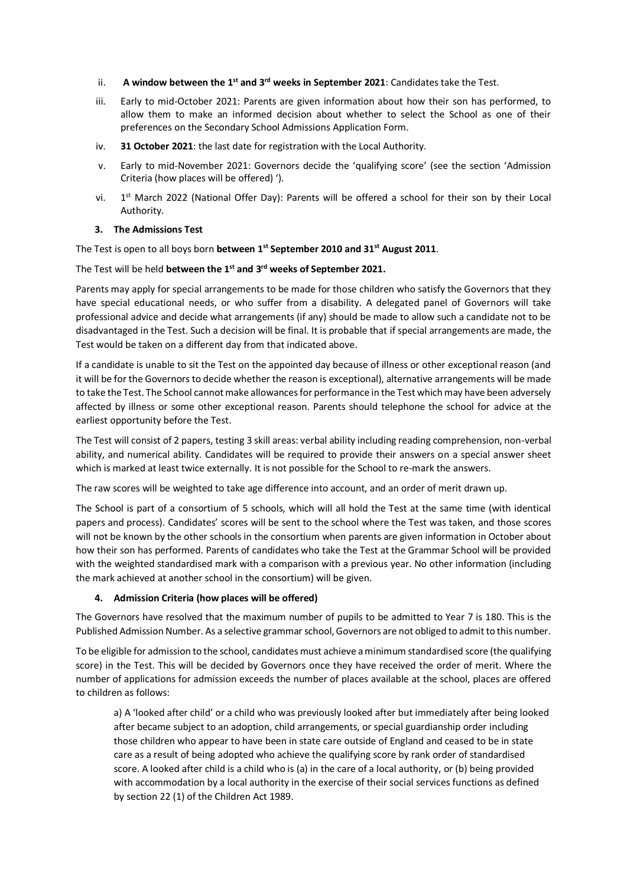- ii. **A window between the 1<sup>st</sup> and 3<sup>rd</sup> weeks in September 2021: Candidates take the Test.**
- iii. Early to mid-October 2021: Parents are given information about how their son has performed, to allow them to make an informed decision about whether to select the School as one of their preferences on the Secondary School Admissions Application Form.
- iv. **31 October 2021**: the last date for registration with the Local Authority.
- v. Early to mid-November 2021: Governors decide the 'qualifying score' (see the section 'Admission Criteria (how places will be offered) ').
- vi.  $1<sup>st</sup>$  March 2022 (National Offer Day): Parents will be offered a school for their son by their Local Authority.
- **3. The Admissions Test**

The Test is open to all boys born **between 1st September 2010 and 31st August 2011**.

#### The Test will be held **between the 1st and 3rd weeks of September 2021.**

Parents may apply for special arrangements to be made for those children who satisfy the Governors that they have special educational needs, or who suffer from a disability. A delegated panel of Governors will take professional advice and decide what arrangements (if any) should be made to allow such a candidate not to be disadvantaged in the Test. Such a decision will be final. It is probable that if special arrangements are made, the Test would be taken on a different day from that indicated above.

If a candidate is unable to sit the Test on the appointed day because of illness or other exceptional reason (and it will be for the Governors to decide whether the reason is exceptional), alternative arrangements will be made to take the Test. The School cannot make allowances for performance in the Test which may have been adversely affected by illness or some other exceptional reason. Parents should telephone the school for advice at the earliest opportunity before the Test.

The Test will consist of 2 papers, testing 3 skill areas: verbal ability including reading comprehension, non-verbal ability, and numerical ability. Candidates will be required to provide their answers on a special answer sheet which is marked at least twice externally. It is not possible for the School to re-mark the answers.

The raw scores will be weighted to take age difference into account, and an order of merit drawn up.

The School is part of a consortium of 5 schools, which will all hold the Test at the same time (with identical papers and process). Candidates' scores will be sent to the school where the Test was taken, and those scores will not be known by the other schools in the consortium when parents are given information in October about how their son has performed. Parents of candidates who take the Test at the Grammar School will be provided with the weighted standardised mark with a comparison with a previous year. No other information (including the mark achieved at another school in the consortium) will be given.

## **4. Admission Criteria (how places will be offered)**

The Governors have resolved that the maximum number of pupils to be admitted to Year 7 is 180. This is the Published Admission Number. As a selective grammar school, Governors are not obliged to admit to this number.

To be eligible for admission to the school, candidates must achieve a minimum standardised score (the qualifying score) in the Test. This will be decided by Governors once they have received the order of merit. Where the number of applications for admission exceeds the number of places available at the school, places are offered to children as follows:

a) A 'looked after child' or a child who was previously looked after but immediately after being looked after became subject to an adoption, child arrangements, or special guardianship order including those children who appear to have been in state care outside of England and ceased to be in state care as a result of being adopted who achieve the qualifying score by rank order of standardised score. A looked after child is a child who is (a) in the care of a local authority, or (b) being provided with accommodation by a local authority in the exercise of their social services functions as defined by section 22 (1) of the Children Act 1989.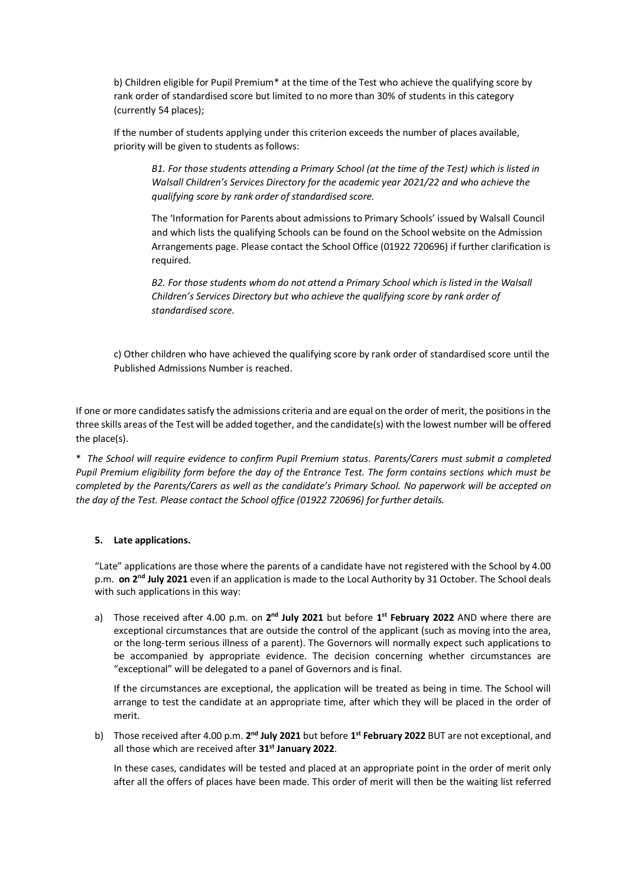b) Children eligible for Pupil Premium\* at the time of the Test who achieve the qualifying score by rank order of standardised score but limited to no more than 30% of students in this category (currently 54 places);

If the number of students applying under this criterion exceeds the number of places available, priority will be given to students as follows:

*B1. For those students attending a Primary School (at the time of the Test) which is listed in Walsall Children's Services Directory for the academic year 2021/22 and who achieve the qualifying score by rank order of standardised score.*

The 'Information for Parents about admissions to Primary Schools' issued by Walsall Council and which lists the qualifying Schools can be found on the School website on the Admission Arrangements page. Please contact the School Office (01922 720696) if further clarification is required.

*B2. For those students whom do not attend a Primary School which is listed in the Walsall Children's Services Directory but who achieve the qualifying score by rank order of standardised score.*

c) Other children who have achieved the qualifying score by rank order of standardised score until the Published Admissions Number is reached.

If one or more candidates satisfy the admissions criteria and are equal on the order of merit, the positions in the three skills areas of the Test will be added together, and the candidate(s) with the lowest number will be offered the place(s).

\* *The School will require evidence to confirm Pupil Premium status. Parents/Carers must submit a completed Pupil Premium eligibility form before the day of the Entrance Test. The form contains sections which must be completed by the Parents/Carers as well as the candidate's Primary School. No paperwork will be accepted on the day of the Test. Please contact the School office (01922 720696) for further details.*

#### **5. Late applications.**

"Late" applications are those where the parents of a candidate have not registered with the School by 4.00 p.m. **on 2<sup>nd</sup> July 2021** even if an application is made to the Local Authority by 31 October. The School deals with such applications in this way:

a) Those received after 4.00 p.m. on 2<sup>nd</sup> July 2021 but before 1<sup>st</sup> February 2022 AND where there are exceptional circumstances that are outside the control of the applicant (such as moving into the area, or the long-term serious illness of a parent). The Governors will normally expect such applications to be accompanied by appropriate evidence. The decision concerning whether circumstances are "exceptional" will be delegated to a panel of Governors and is final.

If the circumstances are exceptional, the application will be treated as being in time. The School will arrange to test the candidate at an appropriate time, after which they will be placed in the order of merit.

b) Those received after 4.00 p.m. 2<sup>nd</sup> July 2021 but before 1<sup>st</sup> February 2022 BUT are not exceptional, and all those which are received after **31st January 2022**.

In these cases, candidates will be tested and placed at an appropriate point in the order of merit only after all the offers of places have been made. This order of merit will then be the waiting list referred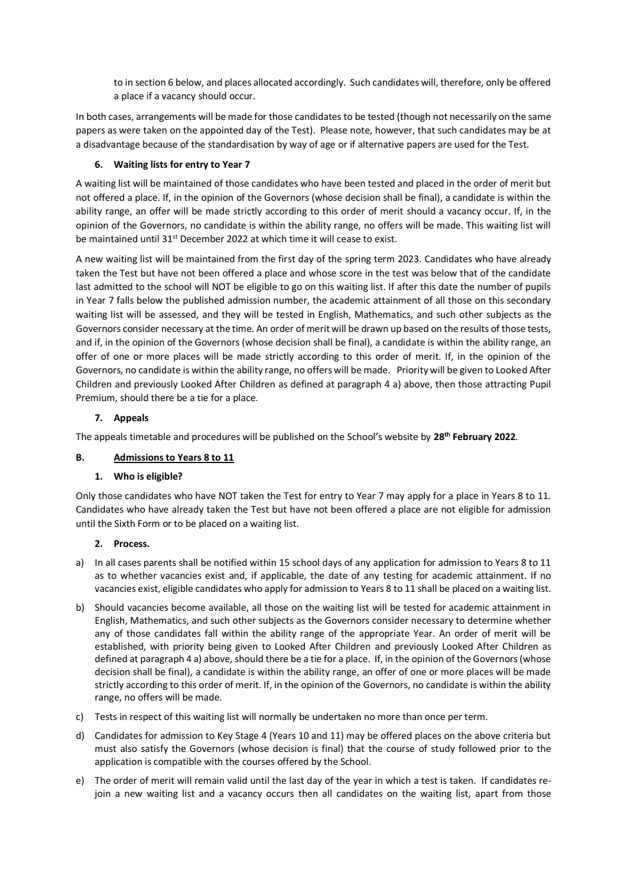to in section 6 below, and places allocated accordingly. Such candidates will, therefore, only be offered a place if a vacancy should occur.

In both cases, arrangements will be made for those candidates to be tested (though not necessarily on the same papers as were taken on the appointed day of the Test). Please note, however, that such candidates may be at a disadvantage because of the standardisation by way of age or if alternative papers are used for the Test.

## **6. Waiting lists for entry to Year 7**

A waiting list will be maintained of those candidates who have been tested and placed in the order of merit but not offered a place. If, in the opinion of the Governors (whose decision shall be final), a candidate is within the ability range, an offer will be made strictly according to this order of merit should a vacancy occur. If, in the opinion of the Governors, no candidate is within the ability range, no offers will be made. This waiting list will be maintained until 31st December 2022 at which time it will cease to exist.

A new waiting list will be maintained from the first day of the spring term 2023. Candidates who have already taken the Test but have not been offered a place and whose score in the test was below that of the candidate last admitted to the school will NOT be eligible to go on this waiting list. If after this date the number of pupils in Year 7 falls below the published admission number, the academic attainment of all those on this secondary waiting list will be assessed, and they will be tested in English, Mathematics, and such other subjects as the Governors consider necessary at the time. An order of merit will be drawn up based on the results of those tests, and if, in the opinion of the Governors (whose decision shall be final), a candidate is within the ability range, an offer of one or more places will be made strictly according to this order of merit. If, in the opinion of the Governors, no candidate is within the ability range, no offers will be made. Priority will be given to Looked After Children and previously Looked After Children as defined at paragraph 4 a) above, then those attracting Pupil Premium, should there be a tie for a place.

## **7. Appeals**

The appeals timetable and procedures will be published on the School's website by **28th February 2022**.

## **B. Admissions to Years 8 to 11**

## **1. Who is eligible?**

Only those candidates who have NOT taken the Test for entry to Year 7 may apply for a place in Years 8 to 11. Candidates who have already taken the Test but have not been offered a place are not eligible for admission until the Sixth Form or to be placed on a waiting list.

## **2. Process.**

- a) In all cases parents shall be notified within 15 school days of any application for admission to Years 8 to 11 as to whether vacancies exist and, if applicable, the date of any testing for academic attainment. If no vacancies exist, eligible candidates who apply for admission to Years 8 to 11 shall be placed on a waiting list.
- b) Should vacancies become available, all those on the waiting list will be tested for academic attainment in English, Mathematics, and such other subjects as the Governors consider necessary to determine whether any of those candidates fall within the ability range of the appropriate Year. An order of merit will be established, with priority being given to Looked After Children and previously Looked After Children as defined at paragraph 4 a) above, should there be a tie for a place. If, in the opinion of the Governors (whose decision shall be final), a candidate is within the ability range, an offer of one or more places will be made strictly according to this order of merit. If, in the opinion of the Governors, no candidate is within the ability range, no offers will be made.
- c) Tests in respect of this waiting list will normally be undertaken no more than once per term.
- d) Candidates for admission to Key Stage 4 (Years 10 and 11) may be offered places on the above criteria but must also satisfy the Governors (whose decision is final) that the course of study followed prior to the application is compatible with the courses offered by the School.
- e) The order of merit will remain valid until the last day of the year in which a test is taken. If candidates rejoin a new waiting list and a vacancy occurs then all candidates on the waiting list, apart from those